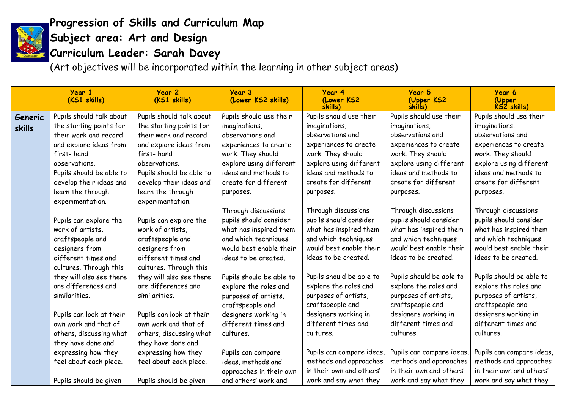

## **Progression of Skills and Curriculum Map**

## **Subject area: Art and Design**

**Curriculum Leader: Sarah Davey**

 $\dot{a}$  (Art objectives will be incorporated within the learning in other subject areas)

|               | Year 1<br>(KS1 skills)   | Year 2<br>(KS1 skills)   | Year 3<br>(Lower KS2 skills) | Year 4<br>(Lower KS2<br>skills) | Year 5<br>(Upper KS2<br>skills) | Year 6<br>(Upper<br>KS2 skills) |
|---------------|--------------------------|--------------------------|------------------------------|---------------------------------|---------------------------------|---------------------------------|
| Generic       | Pupils should talk about | Pupils should talk about | Pupils should use their      | Pupils should use their         | Pupils should use their         | Pupils should use their         |
| <b>skills</b> | the starting points for  | the starting points for  | imaginations,                | imaginations,                   | imaginations,                   | imaginations,                   |
|               | their work and record    | their work and record    | observations and             | observations and                | observations and                | observations and                |
|               | and explore ideas from   | and explore ideas from   | experiences to create        | experiences to create           | experiences to create           | experiences to create           |
|               | first-hand               | first-hand               | work. They should            | work. They should               | work. They should               | work. They should               |
|               | observations.            | observations.            | explore using different      | explore using different         | explore using different         | explore using different         |
|               | Pupils should be able to | Pupils should be able to | ideas and methods to         | ideas and methods to            | ideas and methods to            | ideas and methods to            |
|               | develop their ideas and  | develop their ideas and  | create for different         | create for different            | create for different            | create for different            |
|               | learn the through        | learn the through        | purposes.                    | purposes.                       | purposes.                       | purposes.                       |
|               | experimentation.         | experimentation.         |                              |                                 |                                 |                                 |
|               |                          |                          | Through discussions          | Through discussions             | Through discussions             | Through discussions             |
|               | Pupils can explore the   | Pupils can explore the   | pupils should consider       | pupils should consider          | pupils should consider          | pupils should consider          |
|               | work of artists,         | work of artists,         | what has inspired them       | what has inspired them          | what has inspired them          | what has inspired them          |
|               | craftspeople and         | craftspeople and         | and which techniques         | and which techniques            | and which techniques            | and which techniques            |
|               | designers from           | designers from           | would best enable their      | would best enable their         | would best enable their         | would best enable their         |
|               | different times and      | different times and      | ideas to be created.         | ideas to be created.            | ideas to be created.            | ideas to be created.            |
|               | cultures. Through this   | cultures. Through this   |                              |                                 |                                 |                                 |
|               | they will also see there | they will also see there | Pupils should be able to     | Pupils should be able to        | Pupils should be able to        | Pupils should be able to        |
|               | are differences and      | are differences and      | explore the roles and        | explore the roles and           | explore the roles and           | explore the roles and           |
|               | similarities.            | similarities.            | purposes of artists,         | purposes of artists,            | purposes of artists,            | purposes of artists,            |
|               |                          |                          | craftspeople and             | craftspeople and                | craftspeople and                | craftspeople and                |
|               | Pupils can look at their | Pupils can look at their | designers working in         | designers working in            | designers working in            | designers working in            |
|               | own work and that of     | own work and that of     | different times and          | different times and             | different times and             | different times and             |
|               | others, discussing what  | others, discussing what  | cultures.                    | cultures.                       | cultures.                       | cultures.                       |
|               | they have done and       | they have done and       |                              |                                 |                                 |                                 |
|               | expressing how they      | expressing how they      | Pupils can compare           | Pupils can compare ideas        | Pupils can compare ideas,       | Pupils can compare ideas,       |
|               | feel about each piece.   | feel about each piece.   | ideas, methods and           | methods and approaches          | methods and approaches          | methods and approaches          |
|               |                          |                          | approaches in their own      | in their own and others'        | in their own and others'        | in their own and others'        |
|               | Pupils should be given   | Pupils should be given   | and others' work and         | work and say what they          | work and say what they          | work and say what they          |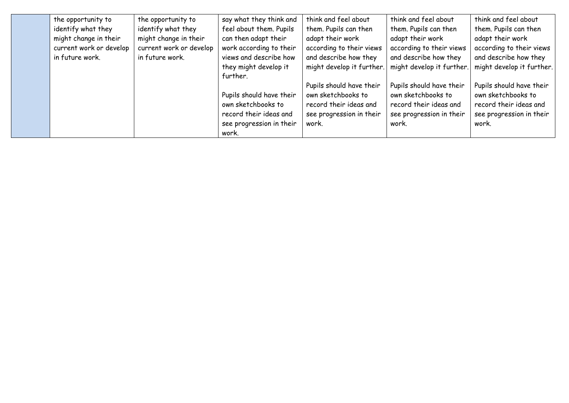| the opportunity to      | the opportunity to      | say what they think and  | think and feel about      | think and feel about      | think and feel about      |
|-------------------------|-------------------------|--------------------------|---------------------------|---------------------------|---------------------------|
| identify what they      | identify what they      | feel about them. Pupils  | them. Pupils can then     | them. Pupils can then     | them. Pupils can then     |
| might change in their   | might change in their   | can then adapt their     | adapt their work          | adapt their work          | adapt their work          |
| current work or develop | current work or develop | work according to their  | according to their views  | according to their views  | according to their views  |
| in future work.         | in future work.         | views and describe how   | and describe how they     | and describe how they     | and describe how they     |
|                         |                         | they might develop it    | might develop it further. | might develop it further. | might develop it further. |
|                         |                         | further.                 |                           |                           |                           |
|                         |                         |                          | Pupils should have their  | Pupils should have their  | Pupils should have their  |
|                         |                         | Pupils should have their | own sketchbooks to        | own sketchbooks to        | own sketchbooks to        |
|                         |                         | own sketchbooks to       | record their ideas and    | record their ideas and    | record their ideas and    |
|                         |                         | record their ideas and   | see progression in their  | see progression in their  | see progression in their  |
|                         |                         | see progression in their | work.                     | work.                     | work.                     |
|                         |                         | work.                    |                           |                           |                           |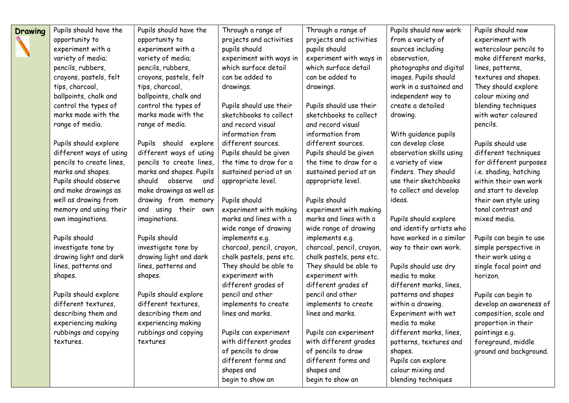| Drawing | Pupils should have the   | Pupils should have the   | Through a range of        | Through a range of        | Pupils should now work   | Pupils should now       |
|---------|--------------------------|--------------------------|---------------------------|---------------------------|--------------------------|-------------------------|
|         | opportunity to           | opportunity to           | projects and activities   | projects and activities   | from a variety of        | experiment with         |
|         | experiment with a        | experiment with a        | pupils should             | pupils should             | sources including        | watercolour pencils to  |
|         | variety of media;        | variety of media;        | experiment with ways in   | experiment with ways in   | observation,             | make different marks,   |
|         | pencils, rubbers,        | pencils, rubbers,        | which surface detail      | which surface detail      | photographs and digital  | lines, patterns,        |
|         | crayons, pastels, felt   | crayons, pastels, felt   | can be added to           | can be added to           | images. Pupils should    | textures and shapes.    |
|         | tips, charcoal,          | tips, charcoal,          | drawings.                 | drawings.                 | work in a sustained and  | They should explore     |
|         | ballpoints, chalk and    | ballpoints, chalk and    |                           |                           | independent way to       | colour mixing and       |
|         | control the types of     | control the types of     | Pupils should use their   | Pupils should use their   | create a detailed        | blending techniques     |
|         | marks made with the      | marks made with the      | sketchbooks to collect    | sketchbooks to collect    | drawing.                 | with water coloured     |
|         | range of media.          | range of media.          | and record visual         | and record visual         |                          | pencils.                |
|         |                          |                          | information from          | information from          | With guidance pupils     |                         |
|         | Pupils should explore    | Pupils should explore    | different sources.        | different sources.        | can develop close        | Pupils should use       |
|         | different ways of using  | different ways of using  | Pupils should be given    | Pupils should be given    | observation skills using | different techniques    |
|         | pencils to create lines, | pencils to create lines, | the time to draw for a    | the time to draw for a    | a variety of view        | for different purposes  |
|         | marks and shapes.        | marks and shapes. Pupils | sustained period at an    | sustained period at an    | finders. They should     | i.e. shading, hatching  |
|         | Pupils should observe    | should<br>observe<br>and | appropriate level.        | appropriate level.        | use their sketchbooks    | within their own work   |
|         | and make drawings as     | make drawings as well as |                           |                           | to collect and develop   | and start to develop    |
|         | well as drawing from     | drawing from memory      | Pupils should             | Pupils should             | ideas.                   | their own style using   |
|         | memory and using their   | using their own<br>and   | experiment with making    | experiment with making    |                          | tonal contrast and      |
|         | own imaginations.        | imaginations.            | marks and lines with a    | marks and lines with a    | Pupils should explore    | mixed media.            |
|         |                          |                          | wide range of drawing     | wide range of drawing     | and identify artists who |                         |
|         | Pupils should            | Pupils should            | implements e.g.           | implements e.g.           | have worked in a similar | Pupils can begin to use |
|         | investigate tone by      | investigate tone by      | charcoal, pencil, crayon, | charcoal, pencil, crayon, | way to their own work.   | simple perspective in   |
|         | drawing light and dark   | drawing light and dark   | chalk pastels, pens etc.  | chalk pastels, pens etc.  |                          | their work using a      |
|         | lines, patterns and      | lines, patterns and      | They should be able to    | They should be able to    | Pupils should use dry    | single focal point and  |
|         | shapes.                  | shapes.                  | experiment with           | experiment with           | media to make            | horizon.                |
|         |                          |                          | different grades of       | different grades of       | different marks, lines,  |                         |
|         | Pupils should explore    | Pupils should explore    | pencil and other          | pencil and other          | patterns and shapes      | Pupils can begin to     |
|         | different textures,      | different textures,      | implements to create      | implements to create      | within a drawing.        | develop an awareness of |
|         | describing them and      | describing them and      | lines and marks.          | lines and marks.          | Experiment with wet      | composition, scale and  |
|         | experiencing making      | experiencing making      |                           |                           | media to make            | proportion in their     |
|         | rubbings and copying     | rubbings and copying     | Pupils can experiment     | Pupils can experiment     | different marks, lines,  | paintings e.g.          |
|         | textures.                | textures                 | with different grades     | with different grades     | patterns, textures and   | foreground, middle      |
|         |                          |                          | of pencils to draw        | of pencils to draw        | shapes.                  | ground and background.  |
|         |                          |                          | different forms and       | different forms and       | Pupils can explore       |                         |
|         |                          |                          | shapes and                | shapes and                | colour mixing and        |                         |
|         |                          |                          | begin to show an          | begin to show an          | blending techniques      |                         |
|         |                          |                          |                           |                           |                          |                         |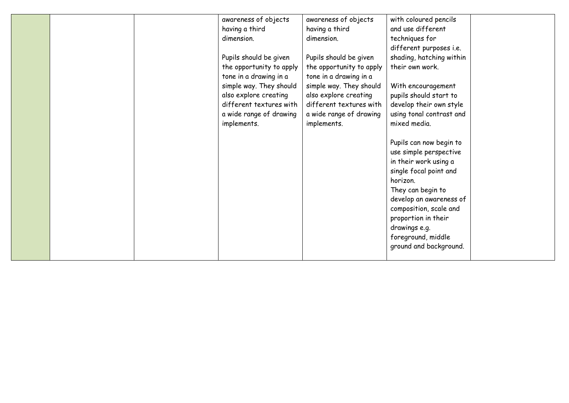|  | awareness of objects     | awareness of objects     | with coloured pencils    |  |
|--|--------------------------|--------------------------|--------------------------|--|
|  | having a third           | having a third           | and use different        |  |
|  | dimension.               | dimension.               | techniques for           |  |
|  |                          |                          | different purposes i.e.  |  |
|  | Pupils should be given   | Pupils should be given   | shading, hatching within |  |
|  | the opportunity to apply | the opportunity to apply | their own work.          |  |
|  | tone in a drawing in a   | tone in a drawing in a   |                          |  |
|  | simple way. They should  | simple way. They should  | With encouragement       |  |
|  | also explore creating    | also explore creating    | pupils should start to   |  |
|  | different textures with  | different textures with  | develop their own style  |  |
|  | a wide range of drawing  | a wide range of drawing  | using tonal contrast and |  |
|  | implements.              | implements.              | mixed media.             |  |
|  |                          |                          |                          |  |
|  |                          |                          | Pupils can now begin to  |  |
|  |                          |                          | use simple perspective   |  |
|  |                          |                          | in their work using a    |  |
|  |                          |                          | single focal point and   |  |
|  |                          |                          | horizon.                 |  |
|  |                          |                          | They can begin to        |  |
|  |                          |                          | develop an awareness of  |  |
|  |                          |                          | composition, scale and   |  |
|  |                          |                          | proportion in their      |  |
|  |                          |                          | drawings e.g.            |  |
|  |                          |                          | foreground, middle       |  |
|  |                          |                          | ground and background.   |  |
|  |                          |                          |                          |  |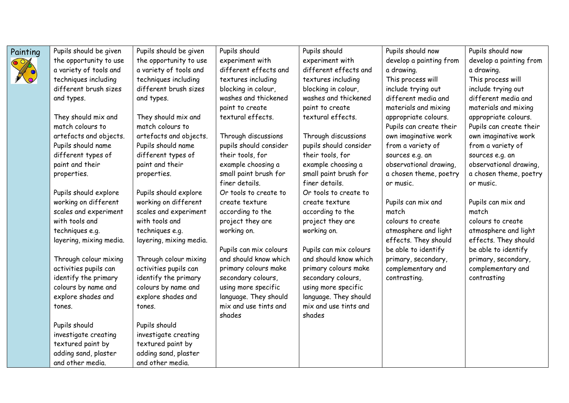

Painting  $\vert$  Pupils should be given the opportunity to use a variety of tools and techniques including different brush sizes and types.

> They should mix and match colours to artefacts and objects. Pupils should name different types of paint and their properties.

Pupils should explore working on different scales and experiment with tools and techniques e.g. layering, mixing media.

Through colour mixing activities pupils can identify the primary colours by name and explore shades and tones.

Pupils should investigate creating textured paint by adding sand, plaster and other media.

Pupils should be given the opportunity to use a variety of tools and techniques including different brush sizes and types.

They should mix and match colours to artefacts and objects. Pupils should name different types of paint and their properties.

Pupils should explore working on different scales and experiment with tools and techniques e.g. layering, mixing media.

Through colour mixing activities pupils can identify the primary colours by name and explore shades and tones.

Pupils should investigate creating textured paint by adding sand, plaster and other media.

Pupils should experiment with different effects and textures including blocking in colour, washes and thickened paint to create textural effects.

Through discussions pupils should consider their tools, for example choosing a small paint brush for finer details. Or tools to create to create texture according to the project they are working on.

Pupils can mix colours and should know which primary colours make secondary colours, using more specific language. They should mix and use tints and shades

Pupils should experiment with different effects and textures including blocking in colour, washes and thickened paint to create textural effects.

Through discussions pupils should consider their tools, for example choosing a small paint brush for finer details. Or tools to create to create texture according to the project they are working on.

Pupils can mix colours and should know which primary colours make secondary colours, using more specific language. They should mix and use tints and shades

Pupils should now develop a painting from a drawing. This process will include trying out different media and materials and mixing appropriate colours. Pupils can create their own imaginative work from a variety of sources e.g. an observational drawing, a chosen theme, poetry or music.

Pupils can mix and match colours to create atmosphere and light effects. They should be able to identify primary, secondary, complementary and contrasting.

Pupils should now develop a painting from a drawing. This process will include trying out different media and materials and mixing appropriate colours. Pupils can create their own imaginative work from a variety of sources e.g. an observational drawing, a chosen theme, poetry or music.

Pupils can mix and match colours to create atmosphere and light effects. They should be able to identify primary, secondary, complementary and contrasting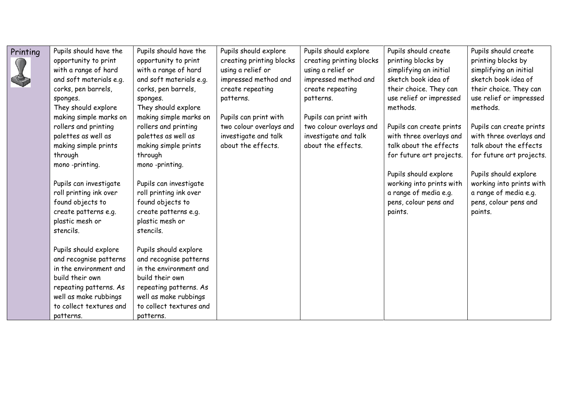| Printing | Pupils should have the  | Pupils should have the  | Pupils should explore    | Pupils should explore    | Pupils should create     | Pupils should create     |
|----------|-------------------------|-------------------------|--------------------------|--------------------------|--------------------------|--------------------------|
|          | opportunity to print    | opportunity to print    | creating printing blocks | creating printing blocks | printing blocks by       | printing blocks by       |
|          | with a range of hard    | with a range of hard    | using a relief or        | using a relief or        | simplifying an initial   | simplifying an initial   |
|          | and soft materials e.g. | and soft materials e.g. | impressed method and     | impressed method and     | sketch book idea of      | sketch book idea of      |
|          | corks, pen barrels,     | corks, pen barrels,     | create repeating         | create repeating         | their choice. They can   | their choice. They can   |
|          | sponges.                | sponges.                | patterns.                | patterns.                | use relief or impressed  | use relief or impressed  |
|          | They should explore     | They should explore     |                          |                          | methods.                 | methods.                 |
|          | making simple marks on  | making simple marks on  | Pupils can print with    | Pupils can print with    |                          |                          |
|          | rollers and printing    | rollers and printing    | two colour overlays and  | two colour overlays and  | Pupils can create prints | Pupils can create prints |
|          | palettes as well as     | palettes as well as     | investigate and talk     | investigate and talk     | with three overlays and  | with three overlays and  |
|          | making simple prints    | making simple prints    | about the effects.       | about the effects.       | talk about the effects   | talk about the effects   |
|          | through                 | through                 |                          |                          | for future art projects. | for future art projects. |
|          | mono-printing.          | mono-printing.          |                          |                          |                          |                          |
|          |                         |                         |                          |                          | Pupils should explore    | Pupils should explore    |
|          | Pupils can investigate  | Pupils can investigate  |                          |                          | working into prints with | working into prints with |
|          | roll printing ink over  | roll printing ink over  |                          |                          | a range of media e.g.    | a range of media e.g.    |
|          | found objects to        | found objects to        |                          |                          | pens, colour pens and    | pens, colour pens and    |
|          | create patterns e.g.    | create patterns e.g.    |                          |                          | paints.                  | paints.                  |
|          | plastic mesh or         | plastic mesh or         |                          |                          |                          |                          |
|          | stencils.               | stencils.               |                          |                          |                          |                          |
|          |                         |                         |                          |                          |                          |                          |
|          | Pupils should explore   | Pupils should explore   |                          |                          |                          |                          |
|          | and recognise patterns  | and recognise patterns  |                          |                          |                          |                          |
|          | in the environment and  | in the environment and  |                          |                          |                          |                          |
|          | build their own         | build their own         |                          |                          |                          |                          |
|          | repeating patterns. As  | repeating patterns. As  |                          |                          |                          |                          |
|          | well as make rubbings   | well as make rubbings   |                          |                          |                          |                          |
|          | to collect textures and | to collect textures and |                          |                          |                          |                          |
|          | patterns.               | patterns.               |                          |                          |                          |                          |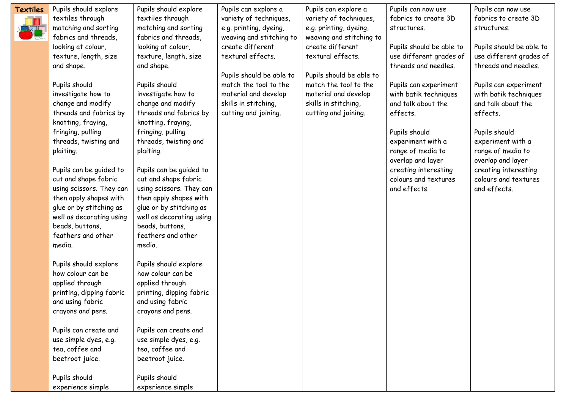| Textiles | Pupils should explore    | Pupils should explore    | Pupils can explore a     | Pupils can explore a     | Pupils can now use       | Pupils can now use       |
|----------|--------------------------|--------------------------|--------------------------|--------------------------|--------------------------|--------------------------|
|          | textiles through         | textiles through         | variety of techniques,   | variety of techniques,   | fabrics to create 3D     | fabrics to create 3D     |
|          | matching and sorting     | matching and sorting     | e.g. printing, dyeing,   | e.g. printing, dyeing,   | structures.              | structures.              |
|          | fabrics and threads,     | fabrics and threads,     | weaving and stitching to | weaving and stitching to |                          |                          |
|          | looking at colour,       | looking at colour,       | create different         | create different         | Pupils should be able to | Pupils should be able to |
|          | texture, length, size    | texture, length, size    | textural effects.        | textural effects.        | use different grades of  | use different grades of  |
|          | and shape.               | and shape.               |                          |                          | threads and needles.     | threads and needles.     |
|          |                          |                          | Pupils should be able to | Pupils should be able to |                          |                          |
|          | Pupils should            | Pupils should            | match the tool to the    | match the tool to the    | Pupils can experiment    | Pupils can experiment    |
|          | investigate how to       | investigate how to       | material and develop     | material and develop     | with batik techniques    | with batik techniques    |
|          | change and modify        | change and modify        | skills in stitching,     | skills in stitching,     | and talk about the       | and talk about the       |
|          | threads and fabrics by   | threads and fabrics by   | cutting and joining.     | cutting and joining.     | effects.                 | effects.                 |
|          | knotting, fraying,       | knotting, fraying,       |                          |                          |                          |                          |
|          | fringing, pulling        | fringing, pulling        |                          |                          | Pupils should            | Pupils should            |
|          | threads, twisting and    | threads, twisting and    |                          |                          | experiment with a        | experiment with a        |
|          | plaiting.                | plaiting.                |                          |                          | range of media to        | range of media to        |
|          |                          |                          |                          |                          | overlap and layer        | overlap and layer        |
|          | Pupils can be guided to  | Pupils can be guided to  |                          |                          | creating interesting     | creating interesting     |
|          | cut and shape fabric     | cut and shape fabric     |                          |                          | colours and textures     | colours and textures     |
|          | using scissors. They can | using scissors. They can |                          |                          | and effects.             | and effects.             |
|          | then apply shapes with   | then apply shapes with   |                          |                          |                          |                          |
|          | glue or by stitching as  | glue or by stitching as  |                          |                          |                          |                          |
|          | well as decorating using | well as decorating using |                          |                          |                          |                          |
|          | beads, buttons,          | beads, buttons,          |                          |                          |                          |                          |
|          | feathers and other       | feathers and other       |                          |                          |                          |                          |
|          | media.                   | media.                   |                          |                          |                          |                          |
|          |                          |                          |                          |                          |                          |                          |
|          | Pupils should explore    | Pupils should explore    |                          |                          |                          |                          |
|          | how colour can be        | how colour can be        |                          |                          |                          |                          |
|          | applied through          | applied through          |                          |                          |                          |                          |
|          | printing, dipping fabric | printing, dipping fabric |                          |                          |                          |                          |
|          | and using fabric         | and using fabric         |                          |                          |                          |                          |
|          | crayons and pens.        | crayons and pens.        |                          |                          |                          |                          |
|          |                          |                          |                          |                          |                          |                          |
|          | Pupils can create and    | Pupils can create and    |                          |                          |                          |                          |
|          | use simple dyes, e.g.    | use simple dyes, e.g.    |                          |                          |                          |                          |
|          | tea, coffee and          | tea, coffee and          |                          |                          |                          |                          |
|          | beetroot juice.          | beetroot juice.          |                          |                          |                          |                          |
|          | Pupils should            | Pupils should            |                          |                          |                          |                          |
|          | experience simple        | experience simple        |                          |                          |                          |                          |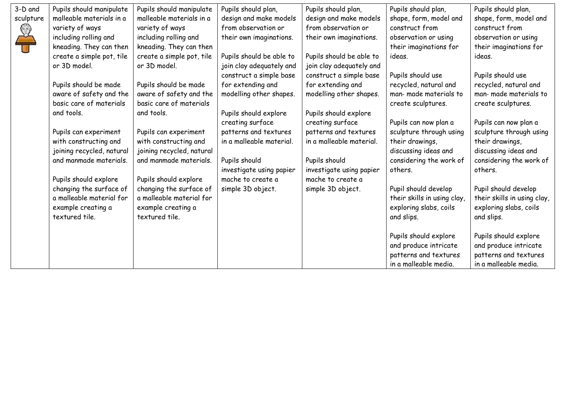| 3-D and                                                                  | Pupils should manipulate  | Pupils should manipulate  | Pupils should plan,      | Pupils should plan,      | Pupils should plan,         | Pupils should plan,         |
|--------------------------------------------------------------------------|---------------------------|---------------------------|--------------------------|--------------------------|-----------------------------|-----------------------------|
| sculpture                                                                | malleable materials in a  | malleable materials in a  | design and make models   | design and make models   | shape, form, model and      | shape, form, model and      |
| $\left\{\begin{matrix} \mathbb{Z}^3 \ \mathbb{Z}^3 \end{matrix}\right\}$ | variety of ways           | variety of ways           | from observation or      | from observation or      | construct from              | construct from              |
|                                                                          | including rolling and     | including rolling and     | their own imaginations.  | their own imaginations.  | observation or using        | observation or using        |
|                                                                          | kneading. They can then   | kneading. They can then   |                          |                          | their imaginations for      | their imaginations for      |
|                                                                          | create a simple pot, tile | create a simple pot, tile | Pupils should be able to | Pupils should be able to | ideas.                      | ideas.                      |
|                                                                          | or 3D model.              | or 3D model.              | join clay adequately and | join clay adequately and |                             |                             |
|                                                                          |                           |                           | construct a simple base  | construct a simple base  | Pupils should use           | Pupils should use           |
|                                                                          | Pupils should be made     | Pupils should be made     | for extending and        | for extending and        | recycled, natural and       | recycled, natural and       |
|                                                                          | aware of safety and the   | aware of safety and the   | modelling other shapes.  | modelling other shapes.  | man- made materials to      | man- made materials to      |
|                                                                          | basic care of materials   | basic care of materials   |                          |                          | create sculptures.          | create sculptures.          |
|                                                                          | and tools.                | and tools.                | Pupils should explore    | Pupils should explore    |                             |                             |
|                                                                          |                           |                           | creating surface         | creating surface         | Pupils can now plan a       | Pupils can now plan a       |
|                                                                          | Pupils can experiment     | Pupils can experiment     | patterns and textures    | patterns and textures    | sculpture through using     | sculpture through using     |
|                                                                          | with constructing and     | with constructing and     | in a malleable material. | in a malleable material. | their drawings,             | their drawings,             |
|                                                                          | joining recycled, natural | joining recycled, natural |                          |                          | discussing ideas and        | discussing ideas and        |
|                                                                          | and manmade materials.    | and manmade materials.    | Pupils should            | Pupils should            | considering the work of     | considering the work of     |
|                                                                          |                           |                           | investigate using papier | investigate using papier | others.                     | others.                     |
|                                                                          | Pupils should explore     | Pupils should explore     | mache to create a        | mache to create a        |                             |                             |
|                                                                          | changing the surface of   | changing the surface of   | simple 3D object.        | simple 3D object.        | Pupil should develop        | Pupil should develop        |
|                                                                          | a malleable material for  | a malleable material for  |                          |                          | their skills in using clay, | their skills in using clay, |
|                                                                          | example creating a        | example creating a        |                          |                          | exploring slabs, coils      | exploring slabs, coils      |
|                                                                          | textured tile.            | textured tile.            |                          |                          | and slips.                  | and slips.                  |
|                                                                          |                           |                           |                          |                          |                             |                             |
|                                                                          |                           |                           |                          |                          | Pupils should explore       | Pupils should explore       |
|                                                                          |                           |                           |                          |                          | and produce intricate       | and produce intricate       |
|                                                                          |                           |                           |                          |                          | patterns and textures       | patterns and textures       |
|                                                                          |                           |                           |                          |                          | in a malleable media.       | in a malleable media.       |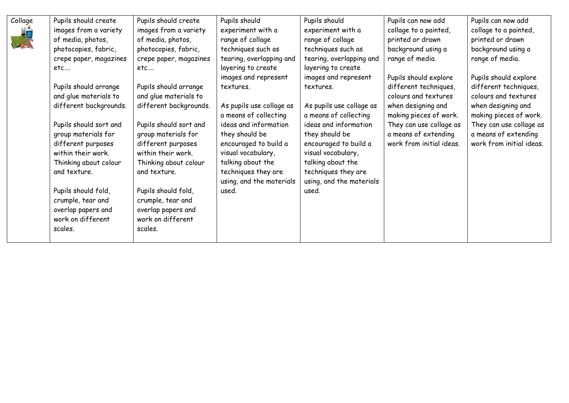| Collage | Pupils should create   | Pupils should create   | Pupils should            | Pupils should            | Pupils can now add       | Pupils can now add       |
|---------|------------------------|------------------------|--------------------------|--------------------------|--------------------------|--------------------------|
|         | images from a variety  | images from a variety  | experiment with a        | experiment with a        | collage to a painted,    | collage to a painted,    |
|         | of media, photos,      | of media, photos,      | range of collage         | range of collage         | printed or drawn         | printed or drawn         |
|         | photocopies, fabric,   | photocopies, fabric,   | techniques such as       | techniques such as       | background using a       | background using a       |
|         | crepe paper, magazines | crepe paper, magazines | tearing, overlapping and | tearing, overlapping and | range of media.          | range of media.          |
|         | etc                    | etc                    | layering to create       | layering to create       |                          |                          |
|         |                        |                        | images and represent     | images and represent     | Pupils should explore    | Pupils should explore    |
|         | Pupils should arrange  | Pupils should arrange  | textures.                | textures.                | different techniques,    | different techniques,    |
|         | and glue materials to  | and glue materials to  |                          |                          | colours and textures     | colours and textures     |
|         | different backgrounds. | different backgrounds. | As pupils use collage as | As pupils use collage as | when designing and       | when designing and       |
|         |                        |                        | a means of collecting    | a means of collecting    | making pieces of work.   | making pieces of work.   |
|         | Pupils should sort and | Pupils should sort and | ideas and information    | ideas and information    | They can use collage as  | They can use collage as  |
|         | group materials for    | group materials for    | they should be           | they should be           | a means of extending     | a means of extending     |
|         | different purposes     | different purposes     | encouraged to build a    | encouraged to build a    | work from initial ideas. | work from initial ideas. |
|         | within their work.     | within their work.     | visual vocabulary,       | visual vocabulary,       |                          |                          |
|         | Thinking about colour  | Thinking about colour  | talking about the        | talking about the        |                          |                          |
|         | and texture.           | and texture.           | techniques they are      | techniques they are      |                          |                          |
|         |                        |                        | using, and the materials | using, and the materials |                          |                          |
|         | Pupils should fold,    | Pupils should fold,    | used.                    | used.                    |                          |                          |
|         | crumple, tear and      | crumple, tear and      |                          |                          |                          |                          |
|         | overlap papers and     | overlap papers and     |                          |                          |                          |                          |
|         | work on different      | work on different      |                          |                          |                          |                          |
|         | scales.                | scales.                |                          |                          |                          |                          |
|         |                        |                        |                          |                          |                          |                          |